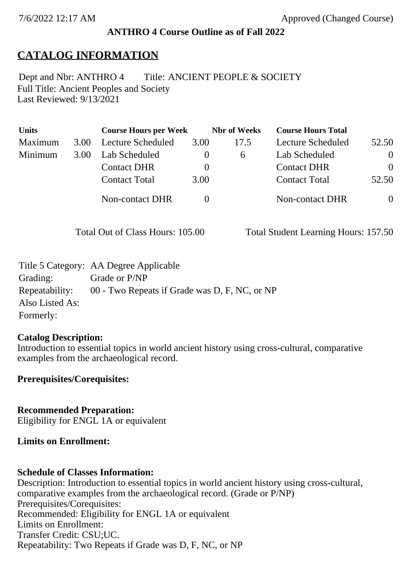### **ANTHRO 4 Course Outline as of Fall 2022**

## **CATALOG INFORMATION**

Full Title: Ancient Peoples and Society Last Reviewed: 9/13/2021 Dept and Nbr: ANTHRO 4 Title: ANCIENT PEOPLE & SOCIETY

| <b>Units</b> |      | <b>Course Hours per Week</b> |              | <b>Nbr</b> of Weeks | <b>Course Hours Total</b> |                |
|--------------|------|------------------------------|--------------|---------------------|---------------------------|----------------|
| Maximum      | 3.00 | Lecture Scheduled            | 3.00         | 17.5                | Lecture Scheduled         | 52.50          |
| Minimum      | 3.00 | Lab Scheduled                | $\mathbf{0}$ | $\sigma$            | Lab Scheduled             | $\overline{0}$ |
|              |      | <b>Contact DHR</b>           | $\theta$     |                     | <b>Contact DHR</b>        | $\Omega$       |
|              |      | <b>Contact Total</b>         | 3.00         |                     | <b>Contact Total</b>      | 52.50          |
|              |      | Non-contact DHR              |              |                     | Non-contact DHR           | $\overline{0}$ |

Total Out of Class Hours: 105.00 Total Student Learning Hours: 157.50

|                 | Title 5 Category: AA Degree Applicable        |
|-----------------|-----------------------------------------------|
| Grading:        | Grade or P/NP                                 |
| Repeatability:  | 00 - Two Repeats if Grade was D, F, NC, or NP |
| Also Listed As: |                                               |
| Formerly:       |                                               |

### **Catalog Description:**

Introduction to essential topics in world ancient history using cross-cultural, comparative examples from the archaeological record.

**Prerequisites/Corequisites:**

**Recommended Preparation:** Eligibility for ENGL 1A or equivalent

### **Limits on Enrollment:**

### **Schedule of Classes Information:**

Description: Introduction to essential topics in world ancient history using cross-cultural, comparative examples from the archaeological record. (Grade or P/NP) Prerequisites/Corequisites: Recommended: Eligibility for ENGL 1A or equivalent Limits on Enrollment: Transfer Credit: CSU;UC. Repeatability: Two Repeats if Grade was D, F, NC, or NP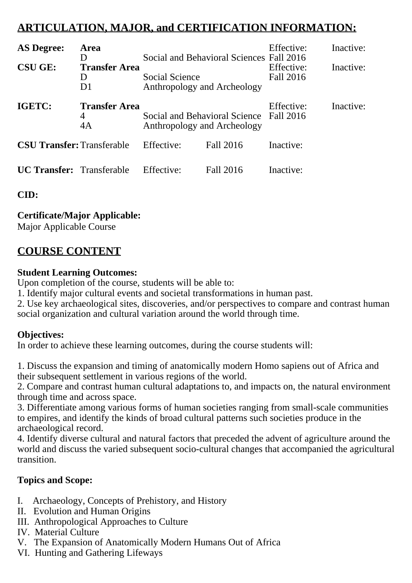# **ARTICULATION, MAJOR, and CERTIFICATION INFORMATION:**

| <b>AS Degree:</b>                                                        | Area<br>D |                                                                        | Social and Behavioral Sciences Fall 2016 | Effective:              | Inactive: |
|--------------------------------------------------------------------------|-----------|------------------------------------------------------------------------|------------------------------------------|-------------------------|-----------|
| <b>CSU GE:</b><br><b>Transfer Area</b><br>$\mathsf{D}$<br>D <sub>1</sub> |           | Social Science<br>Anthropology and Archeology                          |                                          | Effective:<br>Fall 2016 | Inactive: |
| IGETC:<br><b>Transfer Area</b><br>4<br>4A                                |           | Social and Behavioral Science Fall 2016<br>Anthropology and Archeology |                                          | Effective:              | Inactive: |
| <b>CSU Transfer: Transferable</b>                                        |           | Effective:                                                             | Fall 2016                                | Inactive:               |           |
| <b>UC Transfer:</b> Transferable                                         |           | Effective:                                                             | Fall 2016                                | Inactive:               |           |

**CID:**

## **Certificate/Major Applicable:**

[Major Applicable Course](SR_ClassCheck.aspx?CourseKey=ANTHRO4)

## **COURSE CONTENT**

### **Student Learning Outcomes:**

Upon completion of the course, students will be able to:

1. Identify major cultural events and societal transformations in human past.

2. Use key archaeological sites, discoveries, and/or perspectives to compare and contrast human social organization and cultural variation around the world through time.

## **Objectives:**

In order to achieve these learning outcomes, during the course students will:

1. Discuss the expansion and timing of anatomically modern Homo sapiens out of Africa and their subsequent settlement in various regions of the world.

2. Compare and contrast human cultural adaptations to, and impacts on, the natural environment through time and across space.

3. Differentiate among various forms of human societies ranging from small-scale communities to empires, and identify the kinds of broad cultural patterns such societies produce in the archaeological record.

4. Identify diverse cultural and natural factors that preceded the advent of agriculture around the world and discuss the varied subsequent socio-cultural changes that accompanied the agricultural transition.

## **Topics and Scope:**

- I. Archaeology, Concepts of Prehistory, and History
- II. Evolution and Human Origins
- III. Anthropological Approaches to Culture
- IV. Material Culture
- V. The Expansion of Anatomically Modern Humans Out of Africa
- VI. Hunting and Gathering Lifeways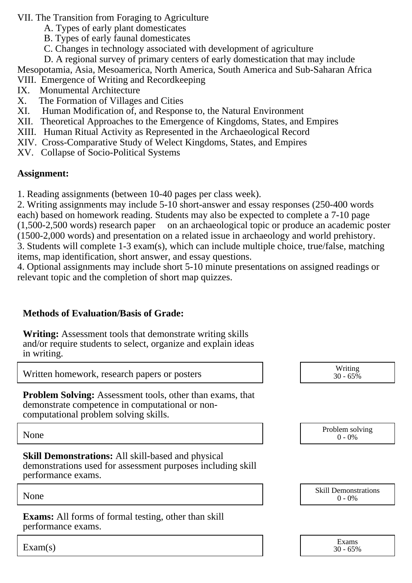VII. The Transition from Foraging to Agriculture

- A. Types of early plant domesticates
- B. Types of early faunal domesticates
- C. Changes in technology associated with development of agriculture

D. A regional survey of primary centers of early domestication that may include

Mesopotamia, Asia, Mesoamerica, North America, South America and Sub-Saharan Africa

VIII. Emergence of Writing and Recordkeeping

- IX. Monumental Architecture
- X. The Formation of Villages and Cities
- XI. Human Modification of, and Response to, the Natural Environment
- XII. Theoretical Approaches to the Emergence of Kingdoms, States, and Empires
- XIII. Human Ritual Activity as Represented in the Archaeological Record
- XIV. Cross-Comparative Study of Welect Kingdoms, States, and Empires
- XV. Collapse of Socio-Political Systems

## **Assignment:**

1. Reading assignments (between 10-40 pages per class week).

2. Writing assignments may include 5-10 short-answer and essay responses (250-400 words each) based on homework reading. Students may also be expected to complete a 7-10 page (1,500-2,500 words) research paper on an archaeological topic or produce an academic poster (1500-2,000 words) and presentation on a related issue in archaeology and world prehistory. 3. Students will complete 1-3 exam(s), which can include multiple choice, true/false, matching items, map identification, short answer, and essay questions.

4. Optional assignments may include short 5-10 minute presentations on assigned readings or relevant topic and the completion of short map quizzes.

## **Methods of Evaluation/Basis of Grade:**

**Writing:** Assessment tools that demonstrate writing skills and/or require students to select, organize and explain ideas in writing.

| Written homework, research papers or posters                                                                                                                 | Writing<br>$30 - 65%$                    |
|--------------------------------------------------------------------------------------------------------------------------------------------------------------|------------------------------------------|
| <b>Problem Solving:</b> Assessment tools, other than exams, that<br>demonstrate competence in computational or non-<br>computational problem solving skills. |                                          |
| None                                                                                                                                                         | Problem solving<br>$0 - 0\%$             |
| <b>Skill Demonstrations:</b> All skill-based and physical<br>demonstrations used for assessment purposes including skill<br>performance exams.               |                                          |
| None                                                                                                                                                         | <b>Skill Demonstrations</b><br>$0 - 0\%$ |
| <b>Exams:</b> All forms of formal testing, other than skill<br>performance exams.                                                                            |                                          |
| $\text{Exam(s)}$                                                                                                                                             | Exams<br>$30 - 65%$                      |